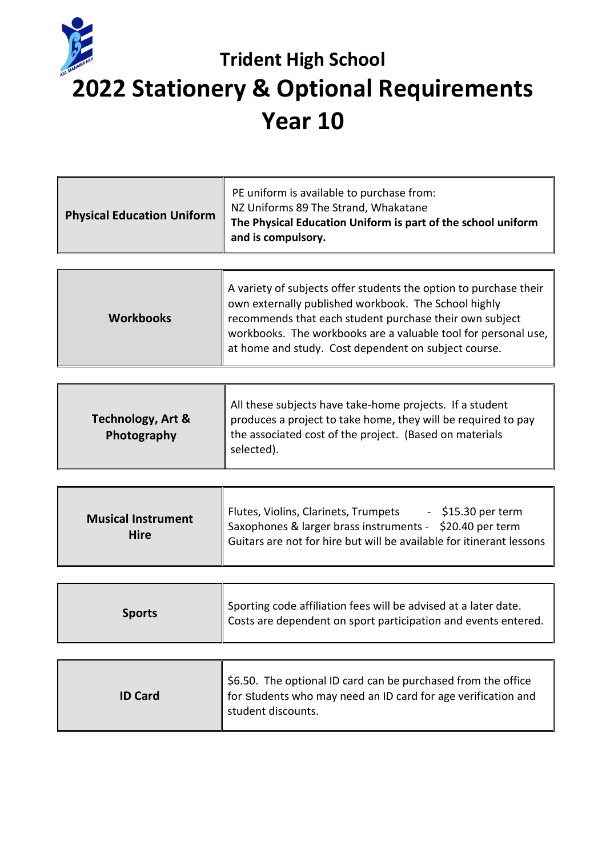

## **Trident High School 2022 Stationery & Optional Requirements Year 10**

| <b>Physical Education Uniform</b> | PE uniform is available to purchase from:<br>NZ Uniforms 89 The Strand, Whakatane<br>The Physical Education Uniform is part of the school uniform<br>and is compulsory. |
|-----------------------------------|-------------------------------------------------------------------------------------------------------------------------------------------------------------------------|
|                                   |                                                                                                                                                                         |

| A variety of subjects offer students the option to purchase their<br>own externally published workbook. The School highly<br>recommends that each student purchase their own subject<br><b>Workbooks</b><br>workbooks. The workbooks are a valuable tool for personal use,<br>at home and study. Cost dependent on subject course. |
|------------------------------------------------------------------------------------------------------------------------------------------------------------------------------------------------------------------------------------------------------------------------------------------------------------------------------------|
|------------------------------------------------------------------------------------------------------------------------------------------------------------------------------------------------------------------------------------------------------------------------------------------------------------------------------------|

| Flutes, Violins, Clarinets, Trumpets<br>$-$ \$15.30 per term<br><b>Musical Instrument</b><br>Saxophones & larger brass instruments - \$20.40 per term<br><b>Hire</b><br>Guitars are not for hire but will be available for itinerant lessons |
|----------------------------------------------------------------------------------------------------------------------------------------------------------------------------------------------------------------------------------------------|
|----------------------------------------------------------------------------------------------------------------------------------------------------------------------------------------------------------------------------------------------|

| <b>Sports</b> | Sporting code affiliation fees will be advised at a later date.<br>Costs are dependent on sport participation and events entered. |
|---------------|-----------------------------------------------------------------------------------------------------------------------------------|
|---------------|-----------------------------------------------------------------------------------------------------------------------------------|

| <b>ID Card</b> | \$6.50. The optional ID card can be purchased from the office<br>for students who may need an ID card for age verification and<br>student discounts. |
|----------------|------------------------------------------------------------------------------------------------------------------------------------------------------|
|----------------|------------------------------------------------------------------------------------------------------------------------------------------------------|